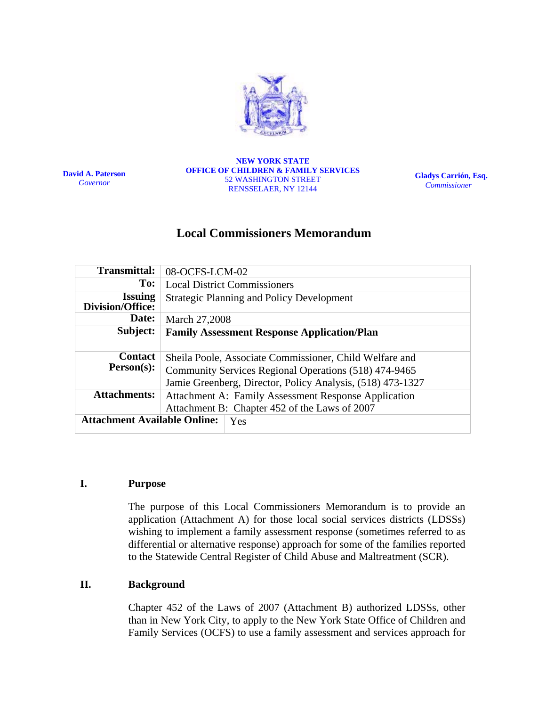

**David A. Paterson**  *Governor*

**NEW YORK STATE OFFICE OF CHILDREN & FAMILY SERVICES**  52 WASHINGTON STREET RENSSELAER, NY 12144

**Gladys Carrión, Esq.**   *Commissioner* 

# **Local Commissioners Memorandum**

| 08-OCFS-LCM-02                                                                                                               |  |                                            |  |  |
|------------------------------------------------------------------------------------------------------------------------------|--|--------------------------------------------|--|--|
| <b>Local District Commissioners</b>                                                                                          |  |                                            |  |  |
| <b>Strategic Planning and Policy Development</b>                                                                             |  |                                            |  |  |
| March 27,2008                                                                                                                |  |                                            |  |  |
| <b>Family Assessment Response Application/Plan</b>                                                                           |  |                                            |  |  |
| Sheila Poole, Associate Commissioner, Child Welfare and                                                                      |  |                                            |  |  |
| Community Services Regional Operations (518) 474-9465                                                                        |  |                                            |  |  |
| Jamie Greenberg, Director, Policy Analysis, (518) 473-1327                                                                   |  |                                            |  |  |
| <b>Attachments:</b><br>Attachment A: Family Assessment Response Application<br>Attachment B: Chapter 452 of the Laws of 2007 |  |                                            |  |  |
|                                                                                                                              |  | <b>Attachment Available Online:</b><br>Yes |  |  |
|                                                                                                                              |  |                                            |  |  |

### **I. Purpose**

The purpose of this Local Commissioners Memorandum is to provide an application (Attachment A) for those local social services districts (LDSSs) wishing to implement a family assessment response (sometimes referred to as differential or alternative response) approach for some of the families reported to the Statewide Central Register of Child Abuse and Maltreatment (SCR).

### **II. Background**

Chapter 452 of the Laws of 2007 (Attachment B) authorized LDSSs, other than in New York City, to apply to the New York State Office of Children and Family Services (OCFS) to use a family assessment and services approach for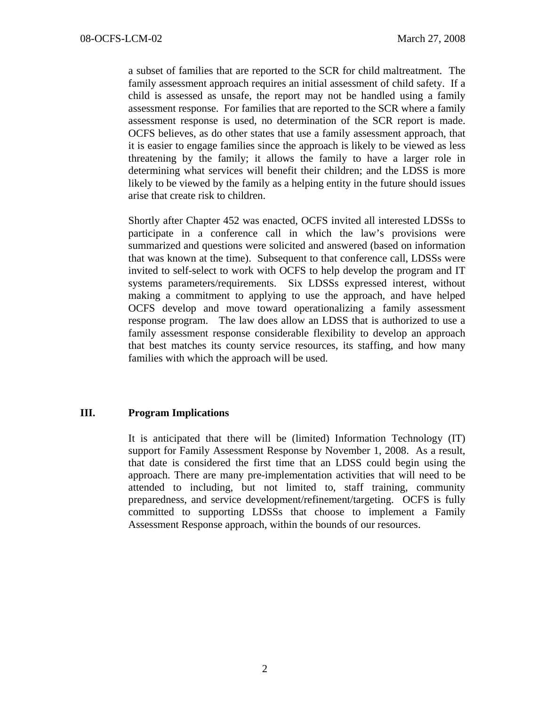a subset of families that are reported to the SCR for child maltreatment. The family assessment approach requires an initial assessment of child safety. If a child is assessed as unsafe, the report may not be handled using a family assessment response. For families that are reported to the SCR where a family assessment response is used, no determination of the SCR report is made. OCFS believes, as do other states that use a family assessment approach, that it is easier to engage families since the approach is likely to be viewed as less threatening by the family; it allows the family to have a larger role in determining what services will benefit their children; and the LDSS is more likely to be viewed by the family as a helping entity in the future should issues arise that create risk to children.

Shortly after Chapter 452 was enacted, OCFS invited all interested LDSSs to participate in a conference call in which the law's provisions were summarized and questions were solicited and answered (based on information that was known at the time). Subsequent to that conference call, LDSSs were invited to self-select to work with OCFS to help develop the program and IT systems parameters/requirements. Six LDSSs expressed interest, without making a commitment to applying to use the approach, and have helped OCFS develop and move toward operationalizing a family assessment response program. The law does allow an LDSS that is authorized to use a family assessment response considerable flexibility to develop an approach that best matches its county service resources, its staffing, and how many families with which the approach will be used.

### **III. Program Implications**

It is anticipated that there will be (limited) Information Technology (IT) support for Family Assessment Response by November 1, 2008. As a result, that date is considered the first time that an LDSS could begin using the approach. There are many pre-implementation activities that will need to be attended to including, but not limited to, staff training, community preparedness, and service development/refinement/targeting. OCFS is fully committed to supporting LDSSs that choose to implement a Family Assessment Response approach, within the bounds of our resources.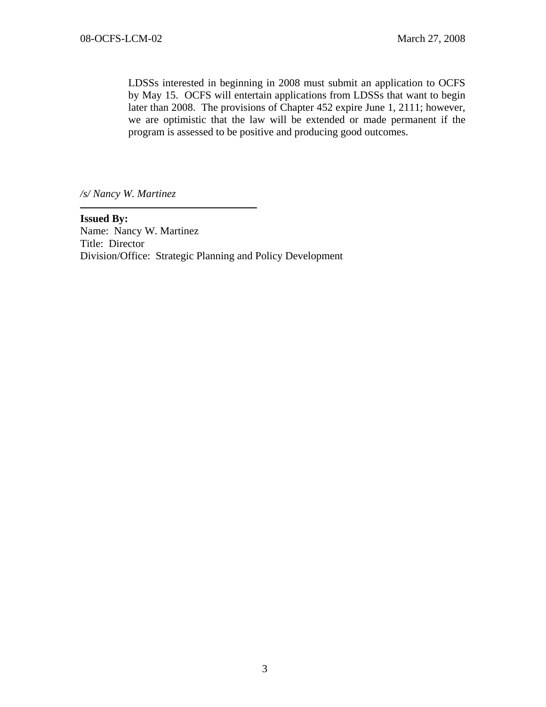LDSSs interested in beginning in 2008 must submit an application to OCFS by May 15. OCFS will entertain applications from LDSSs that want to begin later than 2008. The provisions of Chapter 452 expire June 1, 2111; however, we are optimistic that the law will be extended or made permanent if the program is assessed to be positive and producing good outcomes.

*/s/ Nancy W. Martinez* 

**Issued By:**  Name: Nancy W. Martinez Title: Director Division/Office: Strategic Planning and Policy Development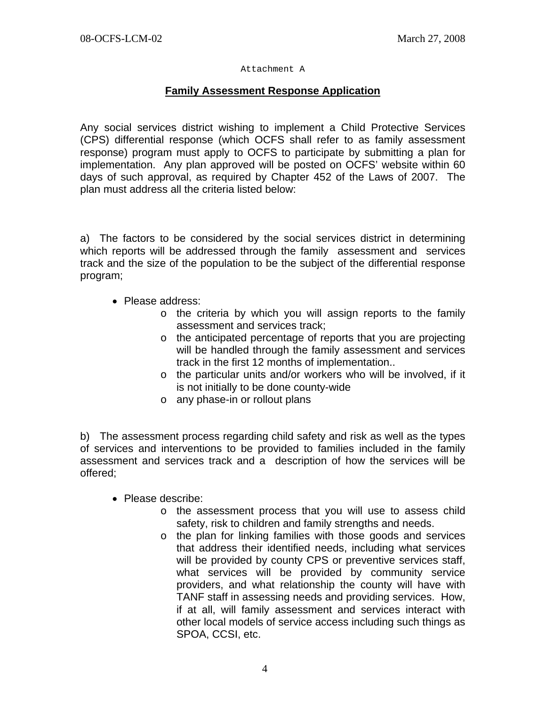#### Attachment A

## **Family Assessment Response Application**

Any social services district wishing to implement a Child Protective Services (CPS) differential response (which OCFS shall refer to as family assessment response) program must apply to OCFS to participate by submitting a plan for implementation. Any plan approved will be posted on OCFS' website within 60 days of such approval, as required by Chapter 452 of the Laws of 2007. The plan must address all the criteria listed below:

a) The factors to be considered by the social services district in determining which reports will be addressed through the family assessment and services track and the size of the population to be the subject of the differential response program;

- Please address:
	- o the criteria by which you will assign reports to the family assessment and services track;
	- o the anticipated percentage of reports that you are projecting will be handled through the family assessment and services track in the first 12 months of implementation..
	- o the particular units and/or workers who will be involved, if it is not initially to be done county-wide
	- o any phase-in or rollout plans

b) The assessment process regarding child safety and risk as well as the types of services and interventions to be provided to families included in the family assessment and services track and a description of how the services will be offered;

- Please describe:
	- o the assessment process that you will use to assess child safety, risk to children and family strengths and needs.
	- o the plan for linking families with those goods and services that address their identified needs, including what services will be provided by county CPS or preventive services staff, what services will be provided by community service providers, and what relationship the county will have with TANF staff in assessing needs and providing services. How, if at all, will family assessment and services interact with other local models of service access including such things as SPOA, CCSI, etc.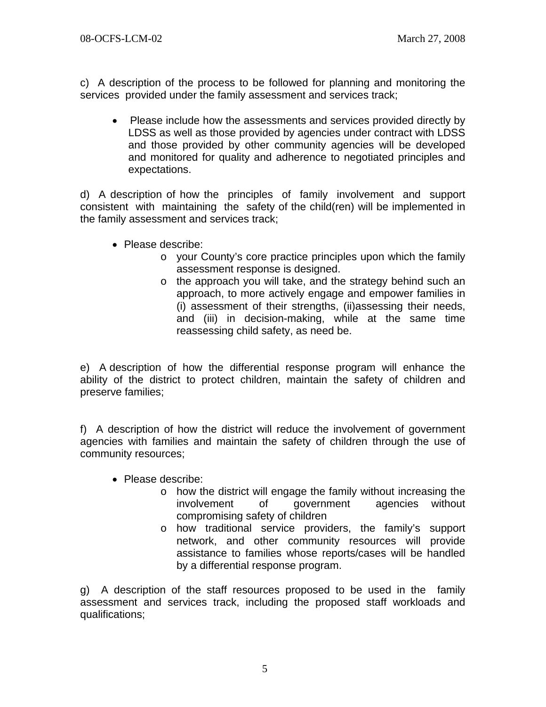c) A description of the process to be followed for planning and monitoring the services provided under the family assessment and services track;

• Please include how the assessments and services provided directly by LDSS as well as those provided by agencies under contract with LDSS and those provided by other community agencies will be developed and monitored for quality and adherence to negotiated principles and expectations.

d) A description of how the principles of family involvement and support consistent with maintaining the safety of the child(ren) will be implemented in the family assessment and services track;

- Please describe:
	- o your County's core practice principles upon which the family assessment response is designed.
	- o the approach you will take, and the strategy behind such an approach, to more actively engage and empower families in (i) assessment of their strengths, (ii)assessing their needs, and (iii) in decision-making, while at the same time reassessing child safety, as need be.

e) A description of how the differential response program will enhance the ability of the district to protect children, maintain the safety of children and preserve families;

f) A description of how the district will reduce the involvement of government agencies with families and maintain the safety of children through the use of community resources;

- Please describe:
	- o how the district will engage the family without increasing the involvement of government agencies without compromising safety of children
	- o how traditional service providers, the family's support network, and other community resources will provide assistance to families whose reports/cases will be handled by a differential response program.

g) A description of the staff resources proposed to be used in the family assessment and services track, including the proposed staff workloads and qualifications;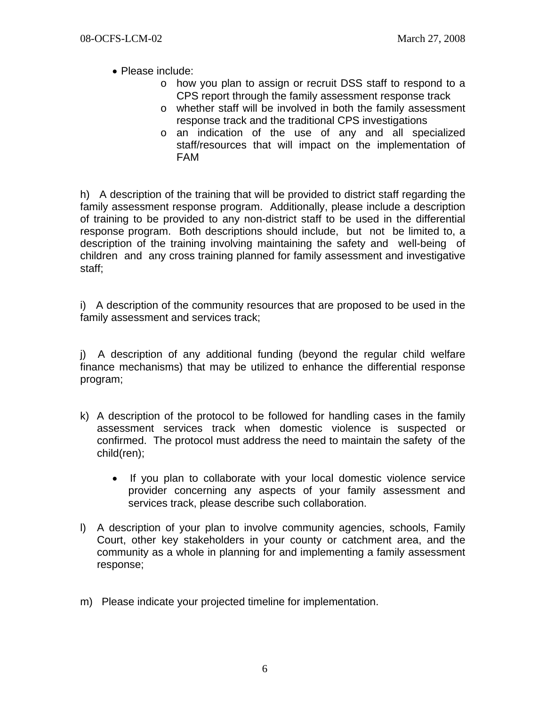- Please include:
	- o how you plan to assign or recruit DSS staff to respond to a CPS report through the family assessment response track
	- o whether staff will be involved in both the family assessment response track and the traditional CPS investigations
	- o an indication of the use of any and all specialized staff/resources that will impact on the implementation of FAM

h) A description of the training that will be provided to district staff regarding the family assessment response program. Additionally, please include a description of training to be provided to any non-district staff to be used in the differential response program. Both descriptions should include, but not be limited to, a description of the training involving maintaining the safety and well-being of children and any cross training planned for family assessment and investigative staff;

i) A description of the community resources that are proposed to be used in the family assessment and services track;

j) A description of any additional funding (beyond the regular child welfare finance mechanisms) that may be utilized to enhance the differential response program;

- k) A description of the protocol to be followed for handling cases in the family assessment services track when domestic violence is suspected or confirmed. The protocol must address the need to maintain the safety of the child(ren);
	- If you plan to collaborate with your local domestic violence service provider concerning any aspects of your family assessment and services track, please describe such collaboration.
- l) A description of your plan to involve community agencies, schools, Family Court, other key stakeholders in your county or catchment area, and the community as a whole in planning for and implementing a family assessment response;
- m) Please indicate your projected timeline for implementation.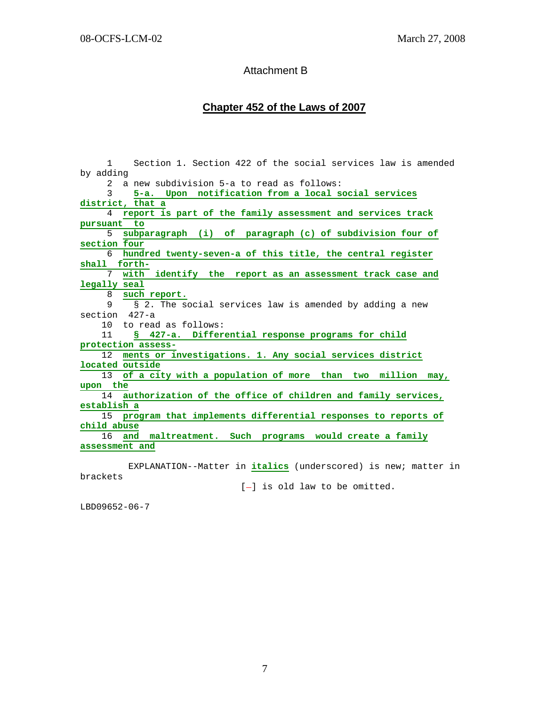### Attachment B

### **Chapter 452 of the Laws of 2007**

 1 Section 1. Section 422 of the social services law is amended by adding 2 a new subdivision 5-a to read as follows: 3 **5-a. Upon notification from a local social services district, that a** 4 **report is part of the family assessment and services track pursuant to** 5 **subparagraph (i) of paragraph (c) of subdivision four of section four** 6 **hundred twenty-seven-a of this title, the central register shall forth-** 7 **with identify the report as an assessment track case and legally seal** 8 **such report.** 9 **§ 2.** The social services law is amended by adding a new section 427-a 10 to read as follows: 11 **§ 427-a. Differential response programs for child protection assess-** 12 **ments or investigations. 1. Any social services district located outside** 13 **of a city with a population of more than two million may, upon the** 14 **authorization of the office of children and family services, establish a** 15 **program that implements differential responses to reports of child abuse** 16 **and maltreatment. Such programs would create a family assessment and**

 EXPLANATION--Matter in **italics** (underscored) is new; matter in brackets

 $[-]$  is old law to be omitted.

LBD09652-06-7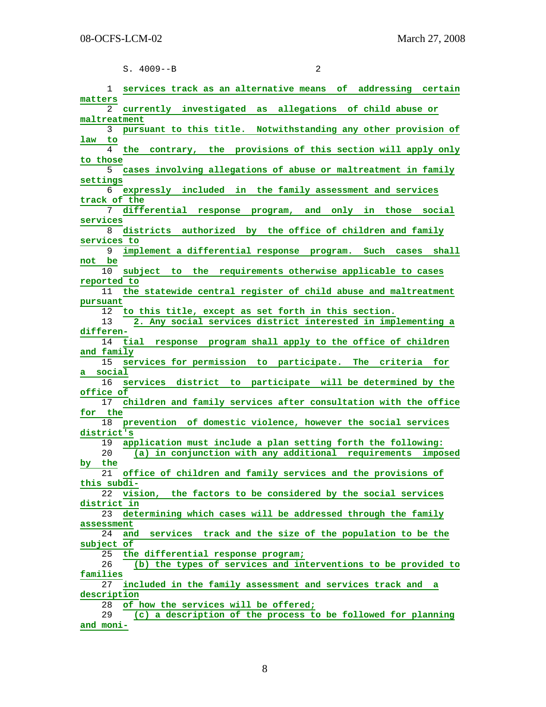|                   | $\overline{a}$<br>$S. 4009--B$                                    |
|-------------------|-------------------------------------------------------------------|
|                   |                                                                   |
| $\mathbf{1}$      | services track as an alternative means of addressing certain      |
| matters           |                                                                   |
| 2<br>maltreatment | currently investigated as allegations of child abuse or           |
| 3                 | pursuant to this title. Notwithstanding any other provision of    |
| law<br>to         |                                                                   |
| 4                 | contrary, the provisions of this section will apply only<br>the   |
| to those          |                                                                   |
| 5.                | cases involving allegations of abuse or maltreatment in family    |
| settings          |                                                                   |
| 6                 | expressly included in the family assessment and services          |
| track of the<br>7 | differential response program, and only in those social           |
| services          |                                                                   |
| 8                 | districts authorized by the office of children and family         |
| services to       |                                                                   |
| 9                 | implement a differential response program. Such cases shall       |
| not be            |                                                                   |
| 10                | subject to the requirements otherwise applicable to cases         |
| reported to       |                                                                   |
| 11                | the statewide central register of child abuse and maltreatment    |
| pursuant<br>12    | to this title, except as set forth in this section.               |
| 13                | 2. Any social services district interested in implementing a      |
| differen-         |                                                                   |
| 14                | response program shall apply to the office of children<br>tial    |
| and family        |                                                                   |
| 15                | services for permission to participate. The criteria for          |
| a social          |                                                                   |
| 16<br>office of   | services district to participate will be determined by the        |
| 17                | children and family services after consultation with the office   |
| for the           |                                                                   |
| 18                | prevention of domestic violence, however the social services      |
| district's        |                                                                   |
| 19                | application must include a plan setting forth the following:      |
| 20                | (a) in conjunction with any additional requirements imposed       |
| by the            |                                                                   |
| 21                | office of children and family services and the provisions of      |
| this subdi-<br>22 | vision, the factors to be considered by the social services       |
| district in       |                                                                   |
| 23                | determining which cases will be addressed through the family      |
| assessment        |                                                                   |
| 24                | services<br>track and the size of the population to be the<br>and |
| subject of        |                                                                   |
| 25                | the differential response program;                                |
| 26<br>families    | (b) the types of services and interventions to be provided to     |
| 27                | included in the family assessment and services track and a        |
|                   |                                                                   |
| description       |                                                                   |

28 **of how the services will be offered;**

 29 **(c) a description of the process to be followed for planning and moni-**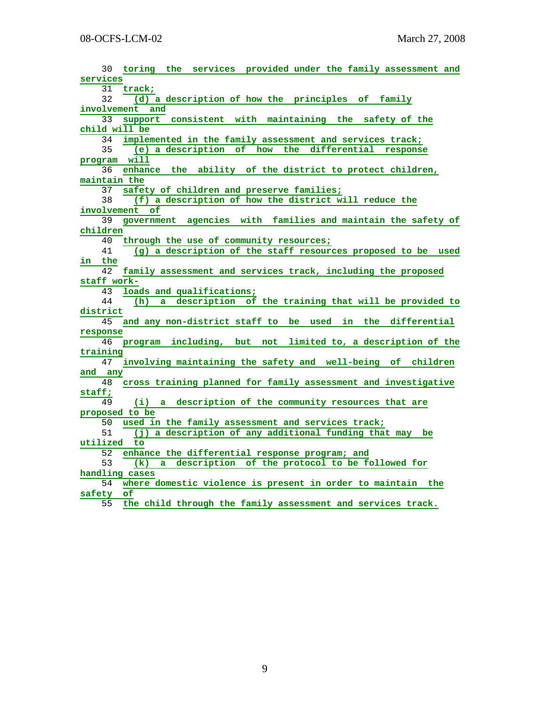|              | 30 | toring the services provided under the family assessment and     |
|--------------|----|------------------------------------------------------------------|
| services     |    |                                                                  |
|              |    | 31 track;                                                        |
|              | 32 | (d) a description of how the principles of family                |
|              |    | involvement and                                                  |
|              | 33 | support consistent with maintaining the safety of the            |
|              |    | child will be                                                    |
|              | 34 | implemented in the family assessment and services track;         |
|              | 35 | (e) a description of<br>how the differential response            |
|              |    | program will                                                     |
|              | 36 | enhance the ability of the district to protect children,         |
| maintain the |    |                                                                  |
|              | 37 | safety of children and preserve families;                        |
|              | 38 | (f) a description of how the district will reduce the            |
|              |    | involvement of                                                   |
|              | 39 | government agencies with families and maintain the safety of     |
| children     |    |                                                                  |
|              | 40 | through the use of community resources;                          |
|              | 41 | (g) a description of the staff resources proposed to be used     |
| in the       |    |                                                                  |
|              | 42 | family assessment and services track, including the proposed     |
| staff work-  |    |                                                                  |
|              | 43 | loads and qualifications;                                        |
|              | 44 | description of the training that will be provided to<br>(h)<br>a |
| district     |    |                                                                  |
|              | 45 | and any non-district staff to be used in the differential        |
| response     |    |                                                                  |
|              | 46 | program including, but not limited to, a description of the      |
| training     |    |                                                                  |
|              | 47 | involving maintaining the safety and well-being of children      |
| and any      |    |                                                                  |
|              | 48 | cross training planned for family assessment and investigative   |
| staff;       |    |                                                                  |
|              | 49 | description of the community resources that are<br>$(i)$ a       |
|              |    | proposed to be                                                   |
|              | 50 | used in the family assessment and services track;                |
|              | 51 | (j) a description of any additional funding that may be          |
| utilized     |    | to                                                               |
|              | 52 | enhance the differential response program; and                   |
|              | 53 | a description of the protocol to be followed for<br>(k)          |
|              |    | handling cases                                                   |
|              | 54 | where domestic violence is present in order to maintain the      |
| safety       |    | оf                                                               |
|              | 55 | the child through the family assessment and services track.      |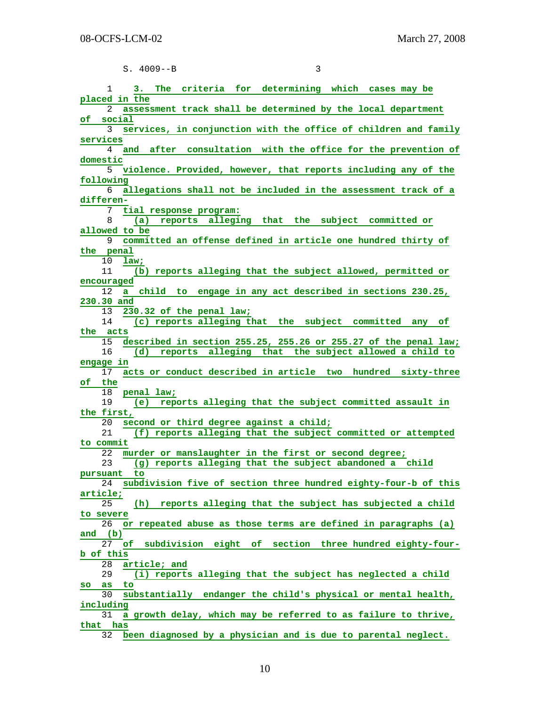| $S. 4009--B$ |  |
|--------------|--|
|--------------|--|

| ٦ |  |
|---|--|

| criteria for determining which cases may be<br>1<br>3.<br>The                   |
|---------------------------------------------------------------------------------|
| placed in the                                                                   |
| assessment track shall be determined by the local department<br>2               |
| social<br>оf                                                                    |
| 3<br>services, in conjunction with the office of children and family            |
| services                                                                        |
| consultation with the office for the prevention of<br>and<br>after<br>4         |
| domestic                                                                        |
|                                                                                 |
| 5.<br>violence. Provided, however, that reports including any of the            |
| following                                                                       |
| allegations shall not be included in the assessment track of a<br>6             |
| differen-                                                                       |
| 7 tial response program:                                                        |
| reports alleging that the subject committed or<br>8<br>(a)                      |
| allowed to be                                                                   |
| committed an offense defined in article one hundred thirty of<br>9              |
| the penal                                                                       |
| 10<br>law;                                                                      |
| 11<br>(b) reports alleging that the subject allowed, permitted or               |
| encouraged                                                                      |
| child to engage in any act described in sections 230.25,<br>12<br>a i           |
| 230.30 and                                                                      |
| 13<br>230.32 of the penal law;                                                  |
|                                                                                 |
| 14<br>(c) reports alleging that the subject committed any of                    |
| the acts                                                                        |
| described in section 255.25, 255.26 or 255.27 of the penal law;<br>15           |
| 16<br>(d) reports alleging that the subject allowed a child to                  |
| engage in                                                                       |
| acts or conduct described in article two hundred sixty-three<br>17              |
| of the                                                                          |
| 18<br>penal law;                                                                |
| (e) reports alleging that the subject committed assault in<br>19                |
| the first,                                                                      |
| second or third degree against a child;<br>20                                   |
| 21<br>(f) reports alleging that the subject committed or attempted              |
| to commit                                                                       |
| murder or manslaughter in the first or second degree;<br>22                     |
| 23<br>(g) reports alleging that the subject abandoned a child                   |
| pursuant to                                                                     |
| subdivision five of section three hundred eighty-four-b of this<br>24           |
|                                                                                 |
| article;                                                                        |
| (h) reports alleging that the subject has subjected a child<br>25               |
| to severe                                                                       |
| or repeated abuse as those terms are defined in paragraphs (a)<br>26            |
| and $(b)$                                                                       |
| 27<br>subdivision eight of section three hundred eighty-four-<br>оf             |
| b of this                                                                       |
| article; and<br>28                                                              |
| (i) reports alleging that the subject has neglected a child<br>29               |
| to<br>as<br>SO                                                                  |
| substantially endanger the child's physical or mental health,<br>30             |
| including                                                                       |
| a growth delay, which may be referred to as failure to thrive,<br>31            |
|                                                                                 |
| that has<br>been diagnosed by a physician and is due to parental neglect.<br>32 |
|                                                                                 |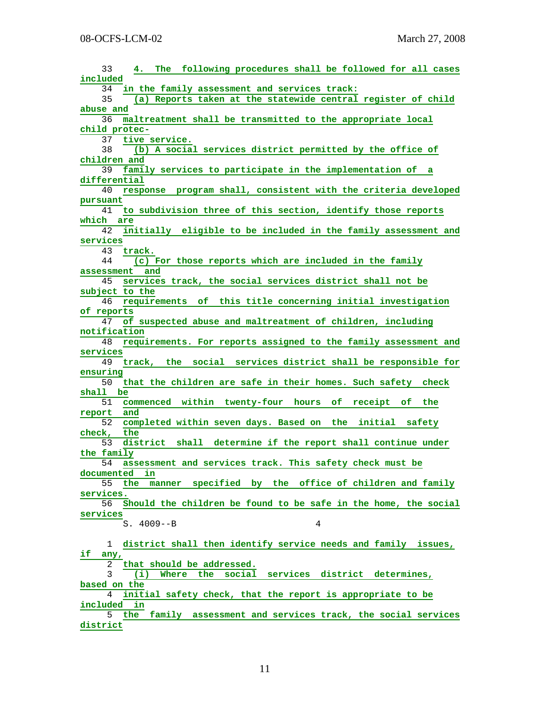| 33<br>The following procedures shall be followed for all cases<br>4.              |
|-----------------------------------------------------------------------------------|
| included                                                                          |
| in the family assessment and services track:<br>34                                |
| (a) Reports taken at the statewide central register of child<br>35                |
| abuse and                                                                         |
| maltreatment shall be transmitted to the appropriate local<br>36                  |
| child protec-                                                                     |
| 37<br>tive service.                                                               |
| (b) A social services district permitted by the office of<br>38                   |
| children and                                                                      |
| family services to participate in the implementation of a<br>39                   |
| differential                                                                      |
| 40<br>response program shall, consistent with the criteria developed              |
| pursuant                                                                          |
| to subdivision three of this section, identify those reports<br>41                |
| which are                                                                         |
| initially eligible to be included in the family assessment and<br>42              |
| services                                                                          |
| 43<br>track.                                                                      |
| 44<br>(c) For those reports which are included in the family                      |
| assessment and                                                                    |
| services track, the social services district shall not be<br>45                   |
|                                                                                   |
| subject to the<br>46                                                              |
| requirements of this title concerning initial investigation                       |
| of reports                                                                        |
| of suspected abuse and maltreatment of children, including<br>47                  |
| notification                                                                      |
| requirements. For reports assigned to the family assessment and<br>48             |
| services                                                                          |
| track, the social services district shall be responsible for<br>49                |
| ensuring                                                                          |
| that the children are safe in their homes. Such safety check<br>50                |
| shall be                                                                          |
| commenced within twenty-four hours<br>of<br>receipt<br>the<br>51<br>of            |
| and<br>report                                                                     |
|                                                                                   |
| completed within seven days. Based on the initial safety<br>52                    |
| check,<br>the                                                                     |
| 53<br>district shall determine if the report shall continue under                 |
| the family                                                                        |
| assessment and services track. This safety check must be<br>54                    |
| in<br>documented                                                                  |
| 55<br>the<br>manner                                                               |
| specified by the office of children and family<br>services.                       |
| 56                                                                                |
| Should the children be found to be safe in the home, the social                   |
| services                                                                          |
| $S. 4009 - B$<br>4                                                                |
| 1                                                                                 |
| district shall then identify service needs and family issues,                     |
| if<br>any,                                                                        |
| that should be addressed.<br>2                                                    |
| services district determines,<br>3<br>(i)<br>Where the<br>social                  |
| based on the                                                                      |
| initial safety check, that the report is appropriate to be<br>4                   |
| included<br>in                                                                    |
| 5<br>family assessment and services track, the social services<br>the<br>district |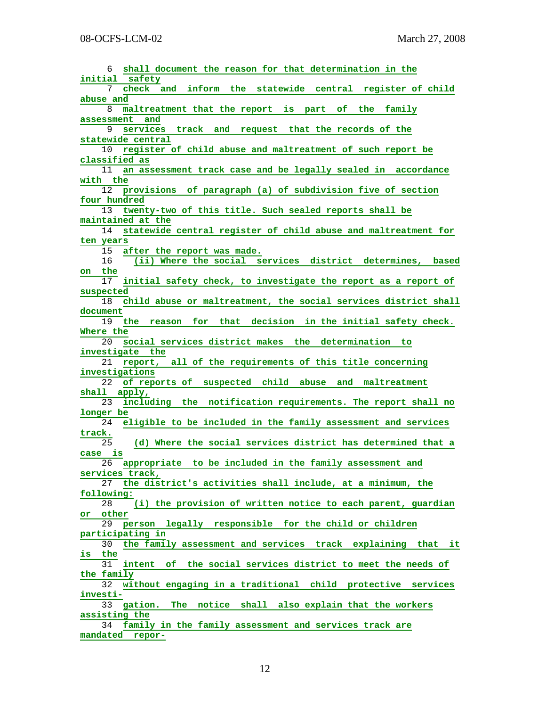| shall document the reason for that determination in the<br>6              |
|---------------------------------------------------------------------------|
| initial safety                                                            |
| check and inform the statewide central register of child<br>7             |
| abuse and                                                                 |
| 8<br>maltreatment that the report is part of the family                   |
| assessment<br>and                                                         |
| services track and request that the records of the                        |
| 9                                                                         |
| statewide central                                                         |
| 10<br>register of child abuse and maltreatment of such report be          |
| classified as                                                             |
| 11<br>an assessment track case and be legally sealed in accordance        |
| with the                                                                  |
| 12<br>provisions of paragraph (a) of subdivision five of section          |
| four hundred                                                              |
| 13<br>twenty-two of this title. Such sealed reports shall be              |
| maintained at the                                                         |
| statewide central register of child abuse and maltreatment for<br>14      |
|                                                                           |
| ten years                                                                 |
| 15<br>after the report was made.                                          |
| 16<br>(ii) Where the social services district determines, based           |
| the<br>on                                                                 |
| 17<br>initial safety check, to investigate the report as a report of      |
| suspected                                                                 |
| child abuse or maltreatment, the social services district shall<br>18     |
| document                                                                  |
| 19<br>the reason for that decision in the initial safety check.           |
| Where the                                                                 |
| social services district makes the determination<br>20<br>to              |
| investigate the                                                           |
| 21<br>report, all of the requirements of this title concerning            |
| investigations                                                            |
| of reports of suspected child abuse and maltreatment<br>22                |
|                                                                           |
| shall apply,                                                              |
| including the notification requirements. The report shall no<br>23        |
| longer be                                                                 |
| eligible to be included in the family assessment and services<br>24       |
| track.                                                                    |
| 25<br>(d) Where the social services district has determined that a        |
| case is                                                                   |
| appropriate to be included in the family assessment and<br>26             |
|                                                                           |
| services track,                                                           |
| 27                                                                        |
| the district's activities shall include, at a minimum, the                |
| following:                                                                |
| (i) the provision of written notice to each parent, guardian<br>28        |
| other<br>or                                                               |
| person legally responsible for the child or children<br>29                |
| participating in                                                          |
| the family assessment and services track explaining that it<br>30         |
| the<br>is                                                                 |
| intent of the social services district to meet the needs of<br>31         |
| the family                                                                |
| 32<br>without engaging in a traditional child protective<br>services      |
| investi-                                                                  |
| The notice shall also explain that the workers<br>33<br>gation.           |
| assisting the                                                             |
| 34                                                                        |
| family in the family assessment and services track are<br>mandated repor- |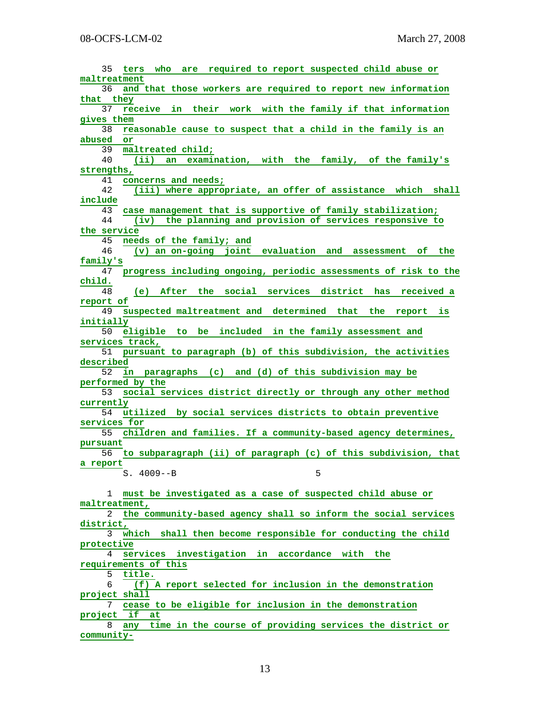| 35<br>who are required to report suspected child abuse or<br>ters                  |
|------------------------------------------------------------------------------------|
| maltreatment                                                                       |
| and that those workers are required to report new information<br>36                |
| that they                                                                          |
| 37<br>receive in their work with the family if that information                    |
| gives them                                                                         |
| reasonable cause to suspect that a child in the family is an<br>38                 |
| abused<br>or                                                                       |
| maltreated child;<br>39                                                            |
| 40<br>examination, with the family, of the family's<br>(iii)<br>an.                |
| strengths,                                                                         |
| concerns and needs;<br>41                                                          |
| 42<br>(iii) where appropriate, an offer of assistance which<br>shall               |
| include                                                                            |
| case management that is supportive of family stabilization;<br>43                  |
| 44                                                                                 |
| the planning and provision of services responsive to<br>(iv)                       |
| the service                                                                        |
| 45<br>needs of the family; and                                                     |
| 46<br>(v) an on-going joint evaluation and assessment of the                       |
| family's                                                                           |
| progress including ongoing, periodic assessments of risk to the<br>47              |
| child.                                                                             |
| After the social<br>services district has<br>48<br>(e)<br>received a               |
| report of                                                                          |
| suspected maltreatment and determined that the report<br>49<br>is                  |
| initially                                                                          |
| eligible to be included in the family assessment and<br>50                         |
| services track,                                                                    |
|                                                                                    |
| pursuant to paragraph (b) of this subdivision, the activities<br>51                |
| described<br>52                                                                    |
| in paragraphs (c) and (d) of this subdivision may be                               |
| performed by the                                                                   |
| 53<br>social services district directly or through any other method                |
| currently                                                                          |
| utilized by social services districts to obtain preventive<br>54                   |
| services for                                                                       |
| 55<br>children and families. If a community-based agency determines,               |
| pursuant                                                                           |
| to subparagraph (ii) of paragraph (c) of this subdivision, that<br>56              |
|                                                                                    |
|                                                                                    |
| a report                                                                           |
| $S. 4009--B$<br>5                                                                  |
|                                                                                    |
| must be investigated as a case of suspected child abuse or<br>1                    |
| maltreatment,                                                                      |
| the community-based agency shall so inform the social services<br>2                |
| district,                                                                          |
| shall then become responsible for conducting the child<br>which<br>3               |
| protective                                                                         |
| services investigation in accordance with the<br>4                                 |
| requirements of this                                                               |
| 5<br>title.                                                                        |
| 6<br>(f) A report selected for inclusion in the demonstration                      |
| project shall                                                                      |
| 7                                                                                  |
| cease to be eligible for inclusion in the demonstration                            |
| project if<br>at                                                                   |
| time in the course of providing services the district or<br>8<br>any<br>community- |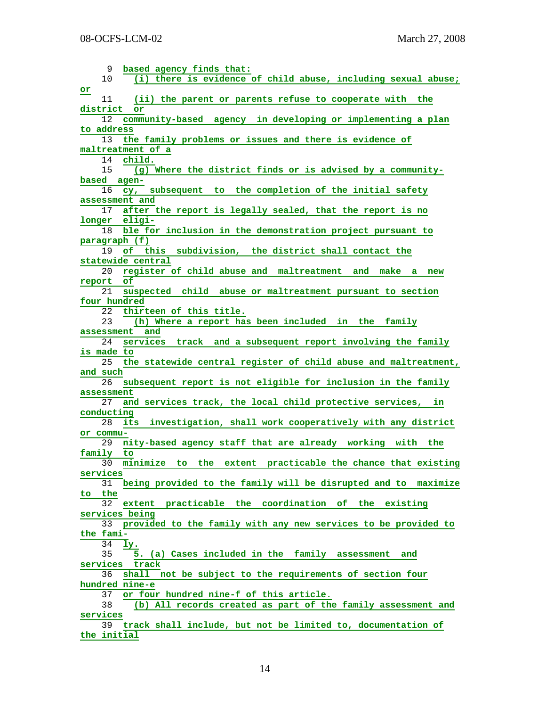9 **based agency finds that:** 10 **(i) there is evidence of child abuse, including sexual abuse; or** 11 **(ii) the parent or parents refuse to cooperate with the district or** 12 **community-based agency in developing or implementing a plan to address** 13 **the family problems or issues and there is evidence of maltreatment of a** 14 **child.** 15 **(g) Where the district finds or is advised by a communitybased agen-** 16 **cy, subsequent to the completion of the initial safety assessment and** 17 **after the report is legally sealed, that the report is no longer eligi-** 18 **ble for inclusion in the demonstration project pursuant to paragraph (f)** 19 **of this subdivision, the district shall contact the statewide central** 20 **register of child abuse and maltreatment and make a new report of** 21 **suspected child abuse or maltreatment pursuant to section four hundred** 22 **thirteen of this title.** 23 **(h) Where a report has been included in the family assessment and** 24 **services track and a subsequent report involving the family is made to** 25 **the statewide central register of child abuse and maltreatment, and such** 26 **subsequent report is not eligible for inclusion in the family assessment** 27 **and services track, the local child protective services, in conducting** 28 **its investigation, shall work cooperatively with any district or commu-** 29 **nity-based agency staff that are already working with the family to** 30 **minimize to the extent practicable the chance that existing services** 31 **being provided to the family will be disrupted and to maximize to the** 32 **extent practicable the coordination of the existing services being** 33 **provided to the family with any new services to be provided to the fami-** 34 **ly.** 35 **5. (a) Cases included in the family assessment and services track** 36 **shall not be subject to the requirements of section four hundred nine-e** 37 **or four hundred nine-f of this article.** 38 **(b) All records created as part of the family assessment and services** 39 **track shall include, but not be limited to, documentation of the initial**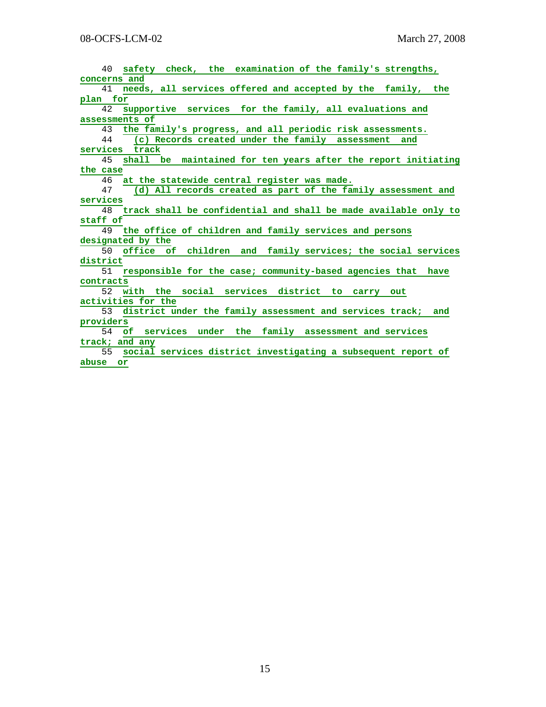| safety check, the examination of the family's strengths,<br>40        |
|-----------------------------------------------------------------------|
| concerns and                                                          |
| needs, all services offered and accepted by the family, the<br>41     |
| plan for                                                              |
| supportive services for the family, all evaluations and<br>42.        |
| assessments of                                                        |
| 43<br>the family's progress, and all periodic risk assessments.       |
| (c) Records created under the family assessment<br>44<br>and          |
| services track                                                        |
| 45<br>shall be maintained for ten years after the report initiating   |
| the case                                                              |
| at the statewide central register was made.<br>46                     |
| (d) All records created as part of the family assessment and<br>47    |
| services                                                              |
| track shall be confidential and shall be made available only to<br>48 |
| staff of                                                              |
| 49 the office of children and family services and persons             |
| designated by the                                                     |
| office of children and family services; the social services<br>50     |
| district                                                              |
| responsible for the case; community-based agencies that have<br>51    |
| contracts                                                             |
| 52<br>with the social services district to carry out                  |
| activities for the                                                    |
| district under the family assessment and services track; and<br>53    |
| providers                                                             |
| of services under the family assessment and services<br>54            |
| track; and any                                                        |
| social services district investigating a subsequent report of<br>55   |
| abuse or                                                              |